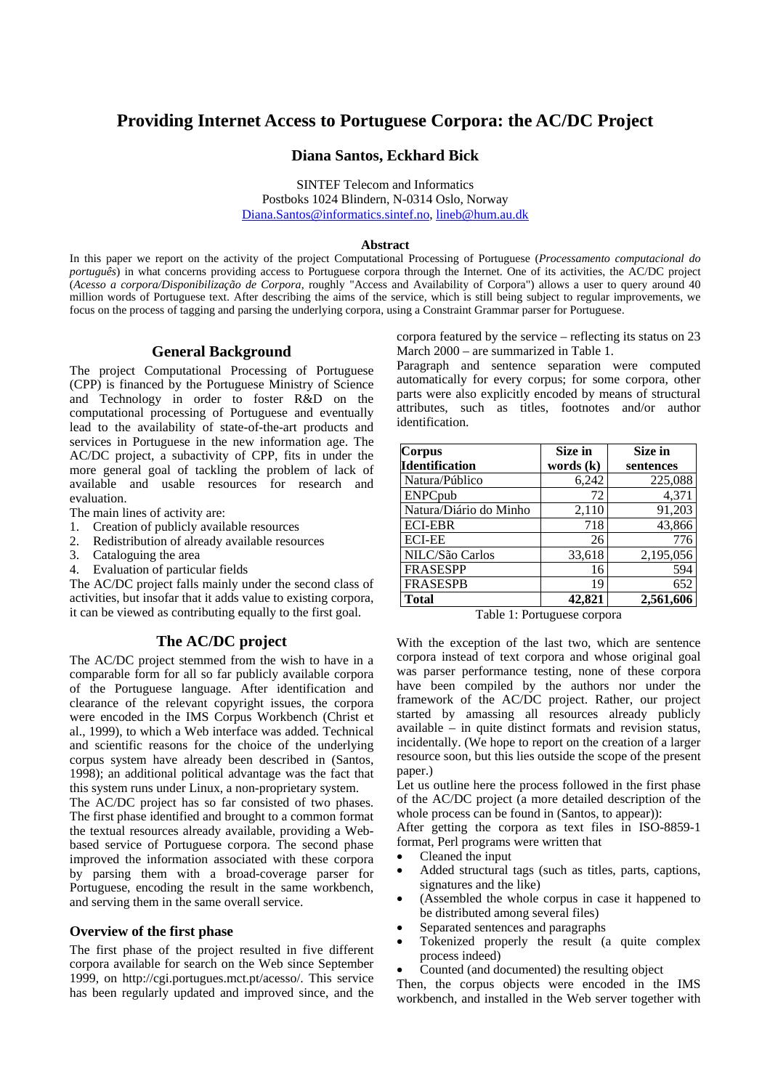# **Providing Internet Access to Portuguese Corpora: the AC/DC Project**

### **Diana Santos, Eckhard Bick**

SINTEF Telecom and Informatics Postboks 1024 Blindern, N-0314 Oslo, Norway Diana.Santos@informatics.sintef.no, lineb@hum.au.dk

#### **Abstract**

In this paper we report on the activity of the project Computational Processing of Portuguese (*Processamento computacional do português*) in what concerns providing access to Portuguese corpora through the Internet. One of its activities, the AC/DC project (*Acesso a corpora/Disponibilização de Corpora*, roughly "Access and Availability of Corpora") allows a user to query around 40 million words of Portuguese text. After describing the aims of the service, which is still being subject to regular improvements, we focus on the process of tagging and parsing the underlying corpora, using a Constraint Grammar parser for Portuguese.

#### **General Background**

The project Computational Processing of Portuguese (CPP) is financed by the Portuguese Ministry of Science and Technology in order to foster R&D on the computational processing of Portuguese and eventually lead to the availability of state-of-the-art products and services in Portuguese in the new information age. The AC/DC project, a subactivity of CPP, fits in under the more general goal of tackling the problem of lack of available and usable resources for research and evaluation.

The main lines of activity are:

- 1. Creation of publicly available resources
- 2. Redistribution of already available resources
- 3. Cataloguing the area
- 4. Evaluation of particular fields

The AC/DC project falls mainly under the second class of activities, but insofar that it adds value to existing corpora, it can be viewed as contributing equally to the first goal.

#### **The AC/DC project**

The AC/DC project stemmed from the wish to have in a comparable form for all so far publicly available corpora of the Portuguese language. After identification and clearance of the relevant copyright issues, the corpora were encoded in the IMS Corpus Workbench (Christ et al., 1999), to which a Web interface was added. Technical and scientific reasons for the choice of the underlying corpus system have already been described in (Santos, 1998); an additional political advantage was the fact that this system runs under Linux, a non-proprietary system.

The AC/DC project has so far consisted of two phases. The first phase identified and brought to a common format the textual resources already available, providing a Webbased service of Portuguese corpora. The second phase improved the information associated with these corpora by parsing them with a broad-coverage parser for Portuguese, encoding the result in the same workbench, and serving them in the same overall service.

#### **Overview of the first phase**

The first phase of the project resulted in five different corpora available for search on the Web since September 1999, on http://cgi.portugues.mct.pt/acesso/. This service has been regularly updated and improved since, and the corpora featured by the service – reflecting its status on 23 March 2000 – are summarized in Table 1.

Paragraph and sentence separation were computed automatically for every corpus; for some corpora, other parts were also explicitly encoded by means of structural attributes, such as titles, footnotes and/or author identification.

| <b>Corpus</b>          | Size in     | Size in   |
|------------------------|-------------|-----------|
| <b>Identification</b>  | words $(k)$ | sentences |
| Natura/Público         | 6,242       | 225,088   |
| ENPCpub                | 72          | 4,371     |
| Natura/Diário do Minho | 2,110       | 91,203    |
| <b>ECI-EBR</b>         | 718         | 43,866    |
| <b>ECI-EE</b>          | 26          | 776       |
| NILC/São Carlos        | 33,618      | 2,195,056 |
| <b>FRASESPP</b>        | 16          | 594       |
| <b>FRASESPB</b>        | 19          | 652       |
| <b>Total</b>           | 42,821      | 2,561,606 |

Table 1: Portuguese corpora

With the exception of the last two, which are sentence corpora instead of text corpora and whose original goal was parser performance testing, none of these corpora have been compiled by the authors nor under the framework of the AC/DC project. Rather, our project started by amassing all resources already publicly available – in quite distinct formats and revision status, incidentally. (We hope to report on the creation of a larger resource soon, but this lies outside the scope of the present paper.)

Let us outline here the process followed in the first phase of the AC/DC project (a more detailed description of the whole process can be found in (Santos, to appear)):

After getting the corpora as text files in ISO-8859-1 format, Perl programs were written that

- Cleaned the input
- Added structural tags (such as titles, parts, captions, signatures and the like)
- (Assembled the whole corpus in case it happened to be distributed among several files)
- Separated sentences and paragraphs
- Tokenized properly the result (a quite complex process indeed)
- Counted (and documented) the resulting object

Then, the corpus objects were encoded in the IMS workbench, and installed in the Web server together with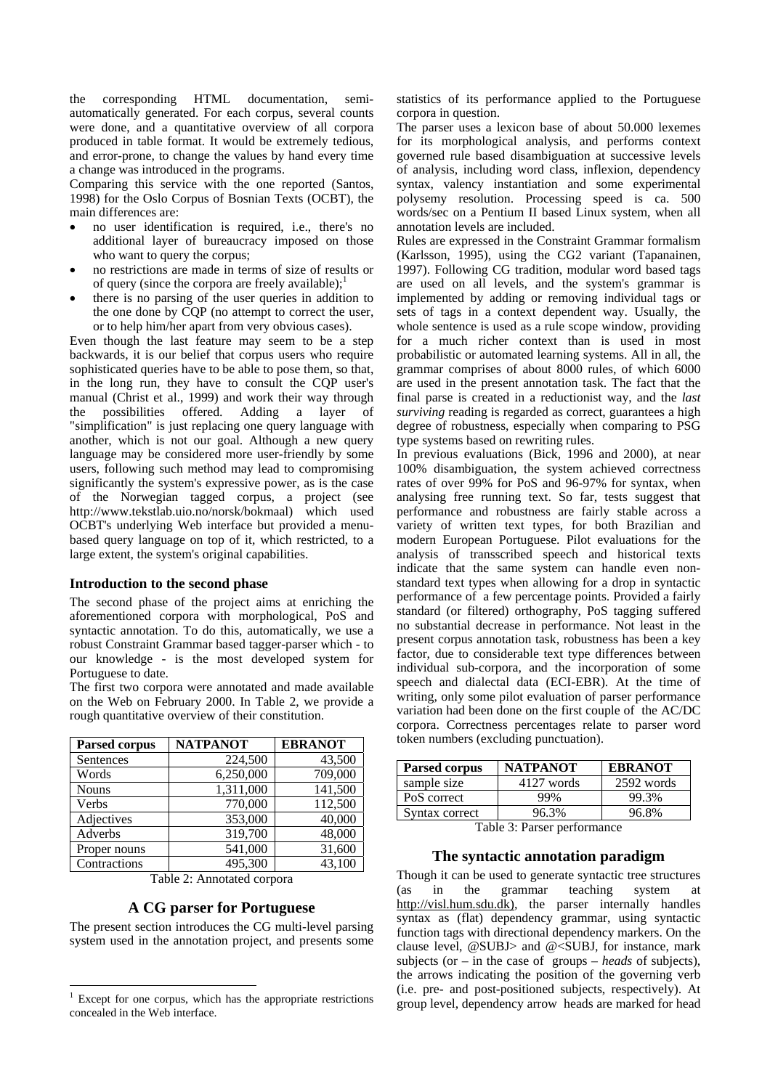the corresponding HTML documentation, semiautomatically generated. For each corpus, several counts were done, and a quantitative overview of all corpora produced in table format. It would be extremely tedious, and error-prone, to change the values by hand every time a change was introduced in the programs.

Comparing this service with the one reported (Santos, 1998) for the Oslo Corpus of Bosnian Texts (OCBT), the main differences are:

- no user identification is required, i.e., there's no additional layer of bureaucracy imposed on those who want to query the corpus;
- no restrictions are made in terms of size of results or of query (since the corpora are freely available); $\frac{1}{2}$
- there is no parsing of the user queries in addition to the one done by CQP (no attempt to correct the user, or to help him/her apart from very obvious cases).

Even though the last feature may seem to be a step backwards, it is our belief that corpus users who require sophisticated queries have to be able to pose them, so that, in the long run, they have to consult the CQP user's manual (Christ et al., 1999) and work their way through the possibilities offered. Adding a layer of "simplification" is just replacing one query language with another, which is not our goal. Although a new query language may be considered more user-friendly by some users, following such method may lead to compromising significantly the system's expressive power, as is the case of the Norwegian tagged corpus, a project (see http://www.tekstlab.uio.no/norsk/bokmaal) which used OCBT's underlying Web interface but provided a menubased query language on top of it, which restricted, to a large extent, the system's original capabilities.

#### **Introduction to the second phase**

The second phase of the project aims at enriching the aforementioned corpora with morphological, PoS and syntactic annotation. To do this, automatically, we use a robust Constraint Grammar based tagger-parser which - to our knowledge - is the most developed system for Portuguese to date.

The first two corpora were annotated and made available on the Web on February 2000. In Table 2, we provide a rough quantitative overview of their constitution.

| Parsed corpus | <b>NATPANOT</b> | <b>EBRANOT</b> |
|---------------|-----------------|----------------|
| Sentences     | 224,500         | 43,500         |
| Words         | 6,250,000       | 709,000        |
| <b>Nouns</b>  | 1,311,000       | 141,500        |
| Verbs         | 770,000         | 112,500        |
| Adjectives    | 353,000         | 40,000         |
| Adverbs       | 319,700         | 48,000         |
| Proper nouns  | 541,000         | 31,600         |
| Contractions  | 495,300         | 43,100         |

Table 2: Annotated corpora

### **A CG parser for Portuguese**

The present section introduces the CG multi-level parsing system used in the annotation project, and presents some

statistics of its performance applied to the Portuguese corpora in question.

The parser uses a lexicon base of about 50.000 lexemes for its morphological analysis, and performs context governed rule based disambiguation at successive levels of analysis, including word class, inflexion, dependency syntax, valency instantiation and some experimental polysemy resolution. Processing speed is ca. 500 words/sec on a Pentium II based Linux system, when all annotation levels are included.

Rules are expressed in the Constraint Grammar formalism (Karlsson, 1995), using the CG2 variant (Tapanainen, 1997). Following CG tradition, modular word based tags are used on all levels, and the system's grammar is implemented by adding or removing individual tags or sets of tags in a context dependent way. Usually, the whole sentence is used as a rule scope window, providing for a much richer context than is used in most probabilistic or automated learning systems. All in all, the grammar comprises of about 8000 rules, of which 6000 are used in the present annotation task. The fact that the final parse is created in a reductionist way, and the *last surviving* reading is regarded as correct, guarantees a high degree of robustness, especially when comparing to PSG type systems based on rewriting rules.

In previous evaluations (Bick, 1996 and 2000)*,* at near 100% disambiguation, the system achieved correctness rates of over 99% for PoS and 96-97% for syntax, when analysing free running text. So far, tests suggest that performance and robustness are fairly stable across a variety of written text types, for both Brazilian and modern European Portuguese. Pilot evaluations for the analysis of transscribed speech and historical texts indicate that the same system can handle even nonstandard text types when allowing for a drop in syntactic performance of a few percentage points. Provided a fairly standard (or filtered) orthography, PoS tagging suffered no substantial decrease in performance. Not least in the present corpus annotation task, robustness has been a key factor, due to considerable text type differences between individual sub-corpora, and the incorporation of some speech and dialectal data (ECI-EBR). At the time of writing, only some pilot evaluation of parser performance variation had been done on the first couple of the AC/DC corpora. Correctness percentages relate to parser word token numbers (excluding punctuation).

| Parsed corpus  | <b>NATPANOT</b> | <b>EBRANOT</b> |
|----------------|-----------------|----------------|
| sample size    | 4127 words      | 2592 words     |
| PoS correct    | 99%             | 99.3%          |
| Syntax correct | 96.3%           | 96.8%          |

Table 3: Parser performance

### **The syntactic annotation paradigm**

Though it can be used to generate syntactic tree structures (as in the grammar teaching system at http://visl.hum.sdu.dk), the parser internally handles syntax as (flat) dependency grammar, using syntactic function tags with directional dependency markers. On the clause level,  $@SUBJ>$  and  $@<sub>SUBJ</sub>$ , for instance, mark subjects (or – in the case of groups – *heads* of subjects), the arrows indicating the position of the governing verb (i.e. pre- and post-positioned subjects, respectively). At group level, dependency arrow heads are marked for head

 $1$  Except for one corpus, which has the appropriate restrictions concealed in the Web interface.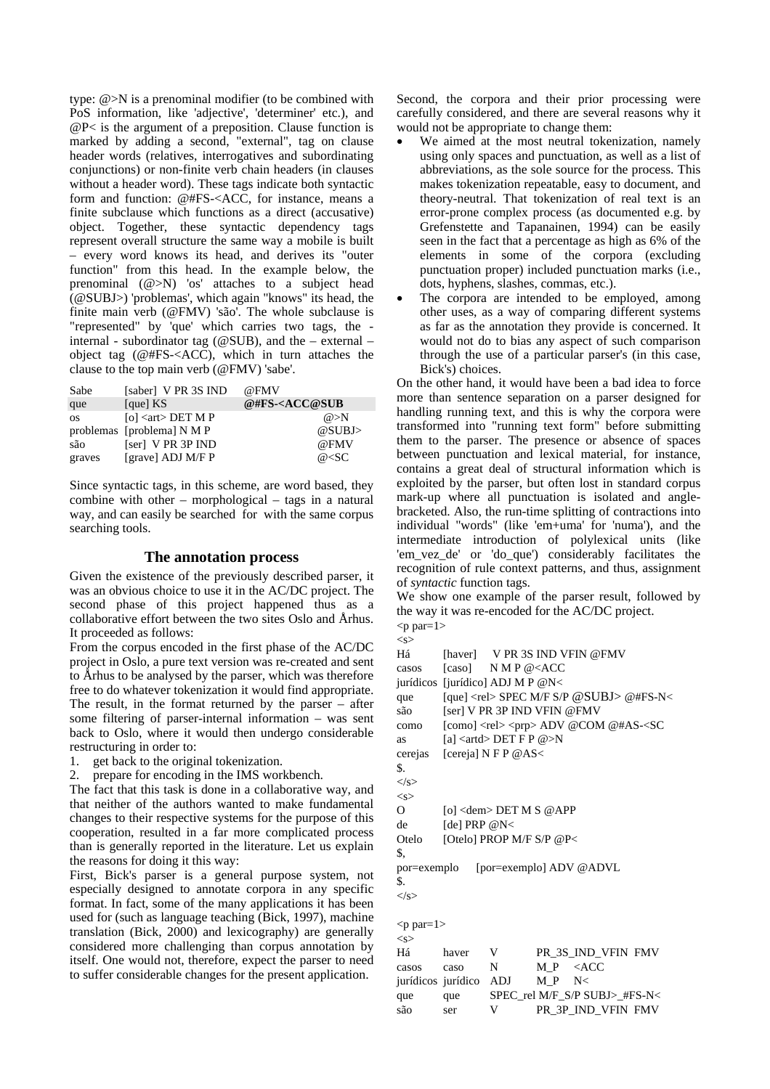type: @>N is a prenominal modifier (to be combined with PoS information, like 'adjective', 'determiner' etc.), and @P< is the argument of a preposition. Clause function is marked by adding a second, "external", tag on clause header words (relatives, interrogatives and subordinating conjunctions) or non-finite verb chain headers (in clauses without a header word). These tags indicate both syntactic form and function: @#FS-<ACC, for instance, means a finite subclause which functions as a direct (accusative) object. Together, these syntactic dependency tags represent overall structure the same way a mobile is built – every word knows its head, and derives its "outer function" from this head. In the example below, the prenominal (@>N) 'os' attaches to a subject head (@SUBJ>) 'problemas', which again "knows" its head, the finite main verb (@FMV) 'são'. The whole subclause is "represented" by 'que' which carries two tags, the internal - subordinator tag ( $@SUB$ ), and the – external – object tag (@#FS-<ACC), which in turn attaches the clause to the top main verb (@FMV) 'sabe'.

| Sabe      | [saber] V PR 3S IND           | @FMV                              |
|-----------|-------------------------------|-----------------------------------|
| que       | [que] $KS$                    | @#FS- <acc@sub< td=""></acc@sub<> |
| <b>OS</b> | [o] $\langle$ art $>$ DET M P | @>N                               |
|           | problemas [problema] N M P    | @SUBJ>                            |
| são       | [ser] V PR 3P IND             | @FMV                              |
| graves    | [grave] ADJ M/F P             | $@<$ SC                           |

Since syntactic tags, in this scheme, are word based, they combine with other – morphological – tags in a natural way, and can easily be searched for with the same corpus searching tools.

#### **The annotation process**

Given the existence of the previously described parser, it was an obvious choice to use it in the AC/DC project. The second phase of this project happened thus as a collaborative effort between the two sites Oslo and Århus. It proceeded as follows:

From the corpus encoded in the first phase of the AC/DC project in Oslo, a pure text version was re-created and sent to Århus to be analysed by the parser, which was therefore free to do whatever tokenization it would find appropriate. The result, in the format returned by the parser – after some filtering of parser-internal information – was sent back to Oslo, where it would then undergo considerable restructuring in order to:

- 1. get back to the original tokenization.
- 2. prepare for encoding in the IMS workbench.

The fact that this task is done in a collaborative way, and that neither of the authors wanted to make fundamental changes to their respective systems for the purpose of this cooperation, resulted in a far more complicated process than is generally reported in the literature. Let us explain the reasons for doing it this way:

First, Bick's parser is a general purpose system, not especially designed to annotate corpora in any specific format. In fact, some of the many applications it has been used for (such as language teaching (Bick, 1997), machine translation (Bick, 2000) and lexicography) are generally considered more challenging than corpus annotation by itself. One would not, therefore, expect the parser to need to suffer considerable changes for the present application.

Second, the corpora and their prior processing were carefully considered, and there are several reasons why it would not be appropriate to change them:

- We aimed at the most neutral tokenization, namely using only spaces and punctuation, as well as a list of abbreviations, as the sole source for the process. This makes tokenization repeatable, easy to document, and theory-neutral. That tokenization of real text is an error-prone complex process (as documented e.g. by Grefenstette and Tapanainen, 1994) can be easily seen in the fact that a percentage as high as 6% of the elements in some of the corpora (excluding punctuation proper) included punctuation marks (i.e., dots, hyphens, slashes, commas, etc.).
- The corpora are intended to be employed, among other uses, as a way of comparing different systems as far as the annotation they provide is concerned. It would not do to bias any aspect of such comparison through the use of a particular parser's (in this case, Bick's) choices.

On the other hand, it would have been a bad idea to force more than sentence separation on a parser designed for handling running text, and this is why the corpora were transformed into "running text form" before submitting them to the parser. The presence or absence of spaces between punctuation and lexical material, for instance, contains a great deal of structural information which is exploited by the parser, but often lost in standard corpus mark-up where all punctuation is isolated and anglebracketed. Also, the run-time splitting of contractions into individual "words" (like 'em+uma' for 'numa'), and the intermediate introduction of polylexical units (like 'em\_vez\_de' or 'do\_que') considerably facilitates the recognition of rule context patterns, and thus, assignment of *syntactic* function tags.

We show one example of the parser result, followed by the way it was re-encoded for the AC/DC project.

 $< p$  par= $1>$  $\langle$ s>

| Há               |                                  |                                                   |     | [haver] V PR 3S IND VFIN @FMV                                          |
|------------------|----------------------------------|---------------------------------------------------|-----|------------------------------------------------------------------------|
| casos            |                                  | [caso] $NMP @ < ACC$                              |     |                                                                        |
|                  | jurídicos [jurídico] ADJ M P @N< |                                                   |     |                                                                        |
| que              |                                  |                                                   |     | [que] <rel> SPEC M/F S/P @SUBJ&gt; @#FS-N&lt;</rel>                    |
| são              |                                  | [ser] V PR 3P IND VFIN @FMV                       |     |                                                                        |
| como             |                                  |                                                   |     | [como] $\langle$ rel $>$ $\langle$ prp $>$ ADV @COM @#AS- $\langle$ SC |
| as               |                                  | [a] $\langle \text{artd} \rangle$ DET F P @ $>$ N |     |                                                                        |
|                  | cerejas [cereja] N F P @AS<      |                                                   |     |                                                                        |
| \$.              |                                  |                                                   |     |                                                                        |
| $\langle$ /s $>$ |                                  |                                                   |     |                                                                        |
| < s              |                                  |                                                   |     |                                                                        |
| $\Omega$         |                                  | [o] $\langle$ dem $>$ DET M S @ APP               |     |                                                                        |
| de               | [de] PRP $@N<$                   |                                                   |     |                                                                        |
| Otelo            |                                  | [Otelo] PROP M/F S/P @P<                          |     |                                                                        |
| \$.              |                                  |                                                   |     |                                                                        |
|                  |                                  |                                                   |     | por=exemplo [por=exemplo] ADV @ADVL                                    |
| \$.              |                                  |                                                   |     |                                                                        |
| $\langle$ /s $>$ |                                  |                                                   |     |                                                                        |
|                  |                                  |                                                   |     |                                                                        |
| $< p$ par=1>     |                                  |                                                   |     |                                                                        |
| < s              |                                  |                                                   |     |                                                                        |
| Há               | haver                            | V                                                 |     | PR 3S IND VFIN FMV                                                     |
| casos            | caso                             | N                                                 |     | M P < ACC                                                              |
|                  | jurídicos jurídico ADJ           |                                                   | M P | N<                                                                     |

que que SPEC\_rel M/F\_S/P SUBJ>\_#FS-N< são ser V PR\_3P\_IND\_VFIN FMV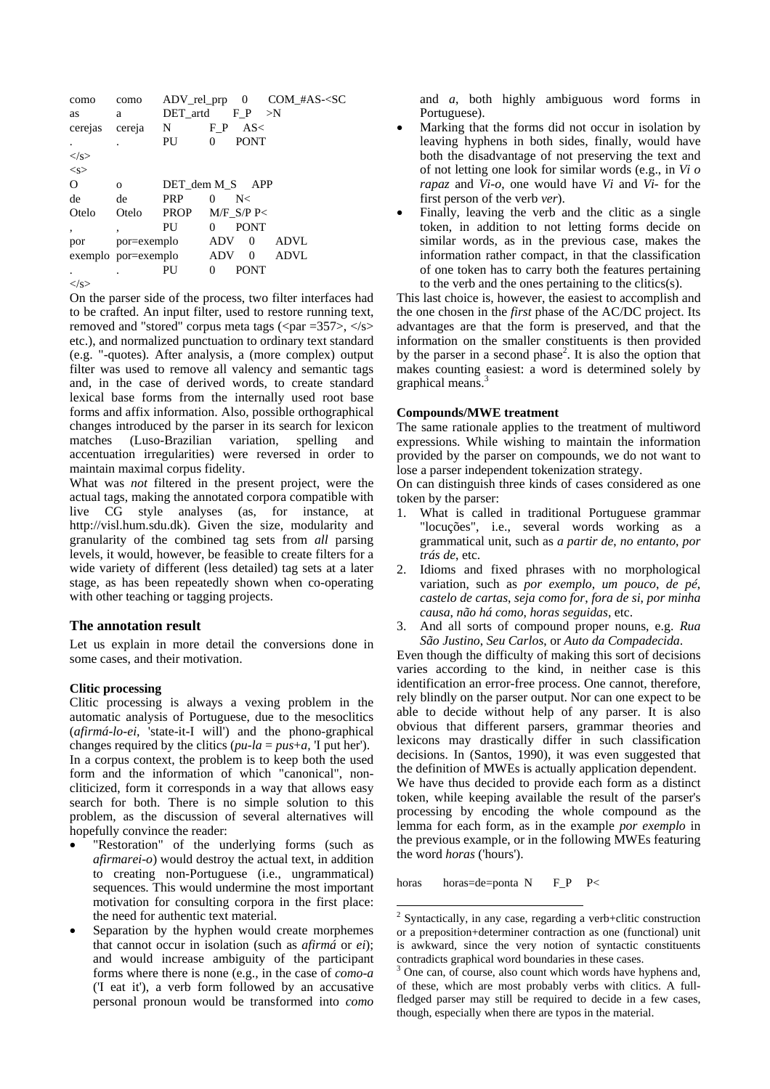| como             | como                |                 |            |              | $ADV_{rel\_prp}$ 0 $COM_{HAS}$ - $SC$ |
|------------------|---------------------|-----------------|------------|--------------|---------------------------------------|
| as               | a                   | DET_artd        |            | $F_P$        | $>$ N                                 |
| cerejas          | cereja              | N               | F P        | AS<          |                                       |
|                  |                     | PU              | 0          | <b>PONT</b>  |                                       |
| $\langle$ /s $>$ |                     |                 |            |              |                                       |
| < s              |                     |                 |            |              |                                       |
| $\Omega$         | $\Omega$            | DET dem M S APP |            |              |                                       |
| de               | de                  | <b>PRP</b>      | $\Omega$   | N<           |                                       |
| Otelo            | Otelo               | <b>PROP</b>     |            | $M/F$ S/P P< |                                       |
| $\cdot$          | ۰                   | PU              | 0          | <b>PONT</b>  |                                       |
| por              | por=exemplo         |                 | <b>ADV</b> | $\Omega$     | <b>ADVL</b>                           |
|                  | exemplo por=exemplo |                 | <b>ADV</b> | $\Omega$     | ADVL                                  |
|                  |                     | PU              | 0          | <b>PONT</b>  |                                       |
|                  |                     |                 |            |              |                                       |

 $\langle$ s>

On the parser side of the process, two filter interfaces had to be crafted. An input filter, used to restore running text. removed and "stored" corpus meta tags ( $\langle$ par =357>,  $\langle$ /s> etc.), and normalized punctuation to ordinary text standard (e.g. "-quotes). After analysis, a (more complex) output filter was used to remove all valency and semantic tags and, in the case of derived words, to create standard lexical base forms from the internally used root base forms and affix information. Also, possible orthographical changes introduced by the parser in its search for lexicon matches (Luso-Brazilian variation, spelling and accentuation irregularities) were reversed in order to maintain maximal corpus fidelity.

What was *not* filtered in the present project, were the actual tags, making the annotated corpora compatible with live CG style analyses (as, for instance, at http://visl.hum.sdu.dk). Given the size, modularity and granularity of the combined tag sets from all parsing levels, it would, however, be feasible to create filters for a wide variety of different (less detailed) tag sets at a later stage, as has been repeatedly shown when co-operating with other teaching or tagging projects.

#### The annotation result

Let us explain in more detail the conversions done in some cases, and their motivation.

#### **Clitic processing**

Clitic processing is always a vexing problem in the automatic analysis of Portuguese, due to the mesoclitics  $(afirmá-lo-ei, 'state-it-I will')$  and the phono-graphical changes required by the clitics  $(pu$ -la =  $pu$ s+a, T put her). In a corpus context, the problem is to keep both the used form and the information of which "canonical", noncliticized, form it corresponds in a way that allows easy search for both. There is no simple solution to this problem, as the discussion of several alternatives will hopefully convince the reader:

- "Restoration" of the underlying forms (such as *afirmarei-o*) would destroy the actual text, in addition to creating non-Portuguese (i.e., ungrammatical) sequences. This would undermine the most important motivation for consulting corpora in the first place: the need for authentic text material.
- Separation by the hyphen would create morphemes that cannot occur in isolation (such as  $afirmá$  or  $ei$ ); and would increase ambiguity of the participant forms where there is none (e.g., in the case of *como-a* ('I eat it'), a verb form followed by an accusative personal pronoun would be transformed into *como*

and  $a$ , both highly ambiguous word forms in Portuguese).

- Marking that the forms did not occur in isolation by leaving hyphens in both sides, finally, would have both the disadvantage of not preserving the text and of not letting one look for similar words (e.g., in  $Vi\ o$ rapaz and  $Vi-$ o, one would have Vi and Vi- for the first person of the verb *ver*).
- Finally, leaving the verb and the clitic as a single token, in addition to not letting forms decide on similar words, as in the previous case, makes the information rather compact, in that the classification of one token has to carry both the features pertaining to the verb and the ones pertaining to the clitics(s).

This last choice is, however, the easiest to accomplish and the one chosen in the *first* phase of the AC/DC project. Its advantages are that the form is preserved, and that the information on the smaller constituents is then provided by the parser in a second phase<sup>2</sup>. It is also the option that makes counting easiest: a word is determined solely by graphical means.<sup>3</sup>

#### **Compounds/MWE** treatment

The same rationale applies to the treatment of multiword expressions. While wishing to maintain the information provided by the parser on compounds, we do not want to lose a parser independent tokenization strategy.

On can distinguish three kinds of cases considered as one token by the parser:

- $1<sup>1</sup>$ What is called in traditional Portuguese grammar "locuções", i.e., several words working as a grammatical unit, such as a partir de, no entanto, por trás de, etc.
- Idioms and fixed phrases with no morphological  $2^{\circ}$ variation, such as *por exemplo*, *um pouco*, *de pé*, castelo de cartas, seja como for, fora de si, por minha causa, não há como, horas seguidas, etc.
- 3. And all sorts of compound proper nouns, e.g. Rua São Justino, Seu Carlos, or Auto da Compadecida.

Even though the difficulty of making this sort of decisions varies according to the kind, in neither case is this identification an error-free process. One cannot, therefore, rely blindly on the parser output. Nor can one expect to be able to decide without help of any parser. It is also obvious that different parsers, grammar theories and lexicons may drastically differ in such classification decisions. In (Santos, 1990), it was even suggested that the definition of MWEs is actually application dependent. We have thus decided to provide each form as a distinct token, while keeping available the result of the parser's processing by encoding the whole compound as the lemma for each form, as in the example por exemplo in the previous example, or in the following MWEs featuring the word *horas* ('hours').

horas=de=ponta N horas  $F_P$   $P<$ 

 $2$  Syntactically, in any case, regarding a verb+clitic construction or a preposition+determiner contraction as one (functional) unit is awkward, since the very notion of syntactic constituents contradicts graphical word boundaries in these cases.

One can, of course, also count which words have hyphens and, of these, which are most probably verbs with clitics. A fullfledged parser may still be required to decide in a few cases, though, especially when there are typos in the material.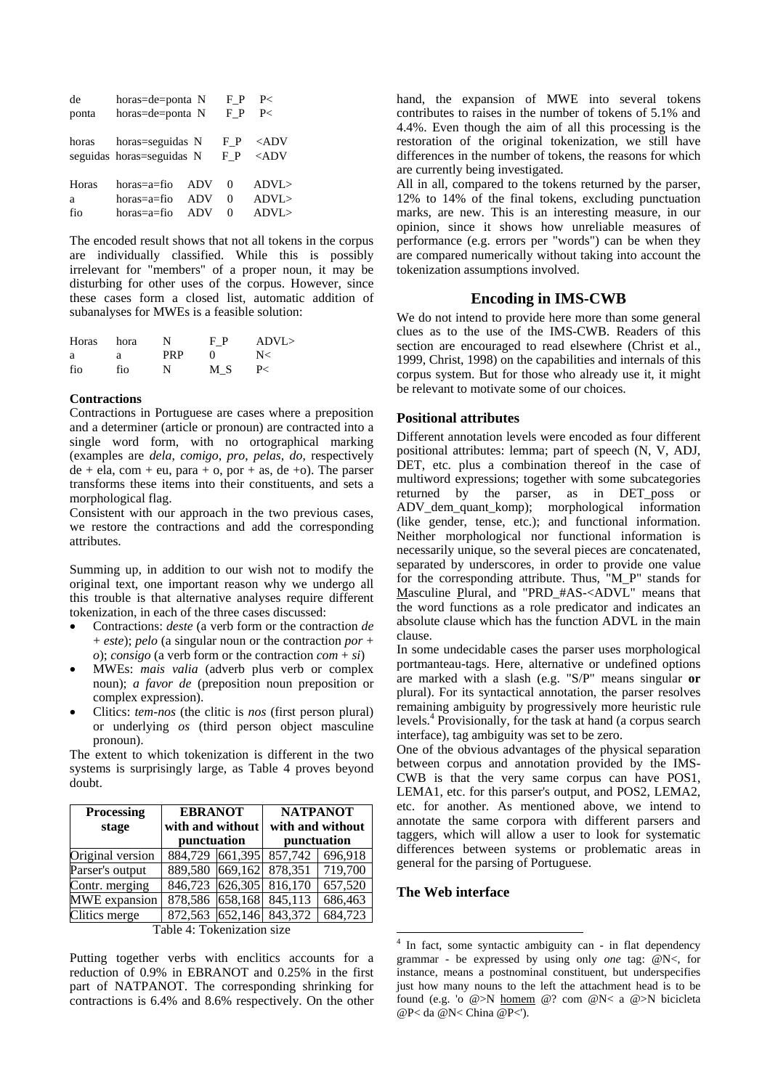| de    | horas=de=ponta N                              |     | F P       | P                              |
|-------|-----------------------------------------------|-----|-----------|--------------------------------|
| ponta | horas=de=ponta N                              |     | F P       | P                              |
| horas | horas=seguidas N<br>seguidas horas=seguidas N |     | FР<br>F P | $\langle ADV$<br>$\langle ADV$ |
| Horas | horas=a=fio                                   | ADV | 0         | ADVI                           |
| a     | horas=a=fio                                   | ADV | $\Omega$  | ADVL                           |
| fio   | horas=a=fio                                   | ADV | 0         | ADVI                           |

The encoded result shows that not all tokens in the corpus are individually classified. While this is possibly irrelevant for "members" of a proper noun, it may be disturbing for other uses of the corpus. However, since these cases form a closed list, automatic addition of subanalyses for MWEs is a feasible solution:

| Horas | hora | N          | F P        | ADVL |
|-------|------|------------|------------|------|
| a     | a    | <b>PRP</b> | $^{\circ}$ | N<   |
| fio   | fio  | N          | МS         | P<   |

#### **Contractions**

Contractions in Portuguese are cases where a preposition and a determiner (article or pronoun) are contracted into a single word form, with no ortographical marking (examples are *dela*, *comigo*, *pro*, *pelas*, *do*, respectively  $de + ela$ , com + eu, para + o, por + as,  $de +o$ ). The parser transforms these items into their constituents, and sets a morphological flag.

Consistent with our approach in the two previous cases, we restore the contractions and add the corresponding attributes.

Summing up, in addition to our wish not to modify the original text, one important reason why we undergo all this trouble is that alternative analyses require different tokenization, in each of the three cases discussed:

- Contractions: *deste* (a verb form or the contraction *de* + *este*); *pelo* (a singular noun or the contraction *por* + *o*); *consigo* (a verb form or the contraction *com* + *si*)
- MWEs: *mais valia* (adverb plus verb or complex noun); *a favor de* (preposition noun preposition or complex expression).
- Clitics: *tem-nos* (the clitic is *nos* (first person plural) or underlying *os* (third person object masculine pronoun).

The extent to which tokenization is different in the two systems is surprisingly large, as Table 4 proves beyond doubt.

| <b>Processing</b><br>stage | <b>EBRANOT</b><br>with and without<br>punctuation |                 |         | <b>NATPANOT</b><br>with and without<br>punctuation |  |
|----------------------------|---------------------------------------------------|-----------------|---------|----------------------------------------------------|--|
| Original version           |                                                   | 884,729 661,395 | 857,742 | 696,918                                            |  |
| Parser's output            |                                                   | 889,580 669,162 | 878,351 | 719,700                                            |  |
| Contr. merging             | 846,723                                           | 626,305         | 816,170 | 657,520                                            |  |
| MWE expansion              | 878,586                                           | 658,168         | 845,113 | 686,463                                            |  |
| Clitics merge              | 872,563 652,146                                   |                 | 843,372 | 684,723                                            |  |
| Table 1. Tokenization size |                                                   |                 |         |                                                    |  |

Table 4: Tokenization size

Putting together verbs with enclitics accounts for a reduction of 0.9% in EBRANOT and 0.25% in the first part of NATPANOT. The corresponding shrinking for contractions is 6.4% and 8.6% respectively. On the other

hand, the expansion of MWE into several tokens contributes to raises in the number of tokens of 5.1% and 4.4%. Even though the aim of all this processing is the restoration of the original tokenization, we still have differences in the number of tokens, the reasons for which are currently being investigated.

All in all, compared to the tokens returned by the parser, 12% to 14% of the final tokens, excluding punctuation marks, are new. This is an interesting measure, in our opinion, since it shows how unreliable measures of performance (e.g. errors per "words") can be when they are compared numerically without taking into account the tokenization assumptions involved.

## **Encoding in IMS-CWB**

We do not intend to provide here more than some general clues as to the use of the IMS-CWB. Readers of this section are encouraged to read elsewhere (Christ et al., 1999, Christ, 1998) on the capabilities and internals of this corpus system. But for those who already use it, it might be relevant to motivate some of our choices.

## **Positional attributes**

Different annotation levels were encoded as four different positional attributes: lemma; part of speech (N, V, ADJ, DET, etc. plus a combination thereof in the case of multiword expressions; together with some subcategories returned by the parser, as in DET poss or ADV\_dem\_quant\_komp); morphological information (like gender, tense, etc.); and functional information. Neither morphological nor functional information is necessarily unique, so the several pieces are concatenated, separated by underscores, in order to provide one value for the corresponding attribute. Thus, "M\_P" stands for Masculine Plural, and "PRD\_#AS-<ADVL" means that the word functions as a role predicator and indicates an absolute clause which has the function ADVL in the main clause.

In some undecidable cases the parser uses morphological portmanteau-tags. Here, alternative or undefined options are marked with a slash (e.g. "S/P" means singular **or** plural). For its syntactical annotation, the parser resolves remaining ambiguity by progressively more heuristic rule levels.4 Provisionally, for the task at hand (a corpus search interface), tag ambiguity was set to be zero.

One of the obvious advantages of the physical separation between corpus and annotation provided by the IMS-CWB is that the very same corpus can have POS1, LEMA1, etc. for this parser's output, and POS2, LEMA2, etc. for another. As mentioned above, we intend to annotate the same corpora with different parsers and taggers, which will allow a user to look for systematic differences between systems or problematic areas in general for the parsing of Portuguese.

## **The Web interface**

 4 In fact, some syntactic ambiguity can - in flat dependency grammar - be expressed by using only *one* tag: @N<, for instance, means a postnominal constituent, but underspecifies just how many nouns to the left the attachment head is to be found (e.g. 'o @>N homem @? com @N< a @>N bicicleta @P< da @N< China @P<').